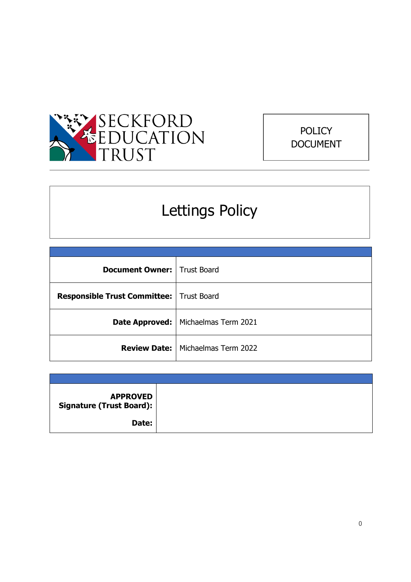



# Lettings Policy

| <b>Document Owner:   Trust Board</b>            |                                            |
|-------------------------------------------------|--------------------------------------------|
| <b>Responsible Trust Committee:</b> Trust Board |                                            |
|                                                 | Date Approved:   Michaelmas Term 2021      |
|                                                 | <b>Review Date:</b>   Michaelmas Term 2022 |

| <b>APPROVED</b><br>Signature (Trust Board): |  |
|---------------------------------------------|--|
| Date:                                       |  |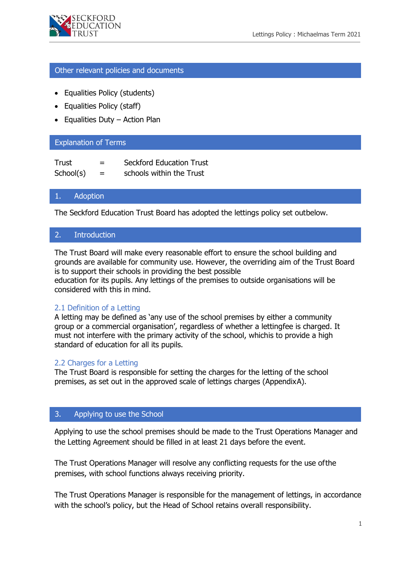

#### Other relevant policies and documents

- Equalities Policy (students)
- Equalities Policy (staff)
- Equalities Duty Action Plan

## Explanation of Terms

| Trust     | $=$ | <b>Seckford Education Trust</b> |
|-----------|-----|---------------------------------|
| School(s) | $=$ | schools within the Trust        |

#### 1. Adoption

The Seckford Education Trust Board has adopted the lettings policy set outbelow.

#### 2. Introduction

The Trust Board will make every reasonable effort to ensure the school building and grounds are available for community use. However, the overriding aim of the Trust Board is to support their schools in providing the best possible

education for its pupils. Any lettings of the premises to outside organisations will be considered with this in mind.

## 2.1 Definition of a Letting

A letting may be defined as 'any use of the school premises by either a community group or a commercial organisation', regardless of whether a lettingfee is charged. It must not interfere with the primary activity of the school, whichis to provide a high standard of education for all its pupils.

#### 2.2 Charges for a Letting

The Trust Board is responsible for setting the charges for the letting of the school premises, as set out in the approved scale of lettings charges (Appendix A).

## 3. Applying to use the School

Applying to use the school premises should be made to the Trust Operations Manager and the Letting Agreement should be filled in at least 21 days before the event.

The Trust Operations Manager will resolve any conflicting requests for the use of the premises, with school functions always receiving priority.

The Trust Operations Manager is responsible for the management of lettings, in accordance with the school's policy, but the Head of School retains overall responsibility.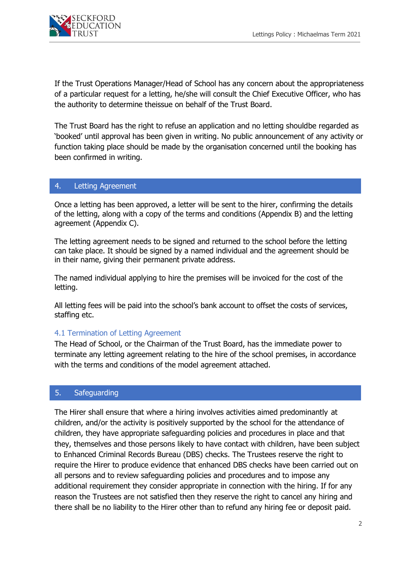

If the Trust Operations Manager/Head of School has any concern about the appropriateness of a particular request for a letting, he/she will consult the Chief Executive Officer, who has the authority to determine theissue on behalf of the Trust Board.

The Trust Board has the right to refuse an application and no letting shouldbe regarded as 'booked' until approval has been given in writing. No public announcement of any activity or function taking place should be made by the organisation concerned until the booking has been confirmed in writing.

#### 4. Letting Agreement

Once a letting has been approved, a letter will be sent to the hirer, confirming the details of the letting, along with a copy of the terms and conditions (Appendix B) and the letting agreement (Appendix C).

The letting agreement needs to be signed and returned to the school before the letting can take place. It should be signed by a named individual and the agreement should be in their name, giving their permanent private address.

The named individual applying to hire the premises will be invoiced for the cost of the letting.

All letting fees will be paid into the school's bank account to offset the costs of services, staffing etc.

## 4.1 Termination of Letting Agreement

The Head of School, or the Chairman of the Trust Board, has the immediate power to terminate any letting agreement relating to the hire of the school premises, in accordance with the terms and conditions of the model agreement attached.

#### 5. Safeguarding

The Hirer shall ensure that where a hiring involves activities aimed predominantly at children, and/or the activity is positively supported by the school for the attendance of children, they have appropriate safeguarding policies and procedures in place and that they, themselves and those persons likely to have contact with children, have been subject to Enhanced Criminal Records Bureau (DBS) checks. The Trustees reserve the right to require the Hirer to produce evidence that enhanced DBS checks have been carried out on all persons and to review safeguarding policies and procedures and to impose any additional requirement they consider appropriate in connection with the hiring. If for any reason the Trustees are not satisfied then they reserve the right to cancel any hiring and there shall be no liability to the Hirer other than to refund any hiring fee or deposit paid.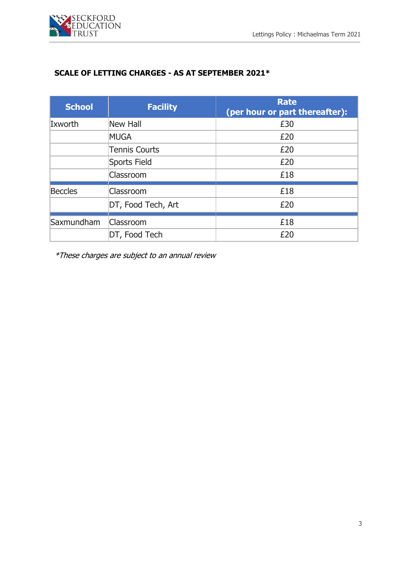

# **SCALE OF LETTING CHARGES - AS AT SEPTEMBER 2021\***

| <b>School</b> | <b>Facility</b>      | <b>Rate</b><br>(per hour or part thereafter): |
|---------------|----------------------|-----------------------------------------------|
| Ixworth       | <b>New Hall</b>      | £30                                           |
|               | <b>MUGA</b>          | £20                                           |
|               | <b>Tennis Courts</b> | £20                                           |
|               | Sports Field         | £20                                           |
|               | Classroom            | £18                                           |
| Beccles       | Classroom            | £18                                           |
|               | DT, Food Tech, Art   | £20                                           |
| Saxmundham    | Classroom            | £18                                           |
|               | DT, Food Tech        | £20                                           |

\*These charges are subject to an annual review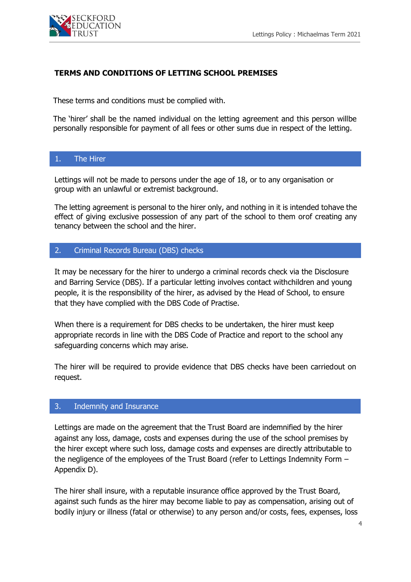

## **TERMS AND CONDITIONS OF LETTING SCHOOL PREMISES**

These terms and conditions must be complied with.

The 'hirer' shall be the named individual on the letting agreement and this person willbe personally responsible for payment of all fees or other sums due in respect of the letting.

## 1. The Hirer

Lettings will not be made to persons under the age of 18, or to any organisation or group with an unlawful or extremist background.

The letting agreement is personal to the hirer only, and nothing in it is intended tohave the effect of giving exclusive possession of any part of the school to them orof creating any tenancy between the school and the hirer.

## 2. Criminal Records Bureau (DBS) checks

It may be necessary for the hirer to undergo a criminal records check via the Disclosure and Barring Service (DBS). If a particular letting involves contact withchildren and young people, it is the responsibility of the hirer, as advised by the Head of School, to ensure that they have complied with the DBS Code of Practise.

When there is a requirement for DBS checks to be undertaken, the hirer must keep appropriate records in line with the DBS Code of Practice and report to the school any safeguarding concerns which may arise.

The hirer will be required to provide evidence that DBS checks have been carriedout on request.

## 3. Indemnity and Insurance

Lettings are made on the agreement that the Trust Board are indemnified by the hirer against any loss, damage, costs and expenses during the use of the school premises by the hirer except where such loss, damage costs and expenses are directly attributable to the negligence of the employees of the Trust Board (refer to Lettings Indemnity Form – Appendix D).

The hirer shall insure, with a reputable insurance office approved by the Trust Board, against such funds as the hirer may become liable to pay as compensation, arising out of bodily injury or illness (fatal or otherwise) to any person and/or costs, fees, expenses, loss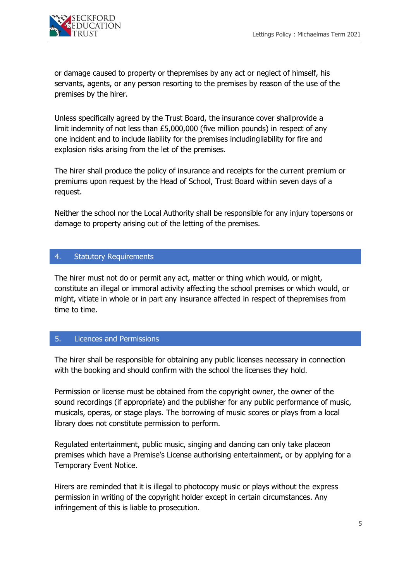

or damage caused to property or thepremises by any act or neglect of himself, his servants, agents, or any person resorting to the premises by reason of the use of the premises by the hirer.

Unless specifically agreed by the Trust Board, the insurance cover shallprovide a limit indemnity of not less than £5,000,000 (five million pounds) in respect of any one incident and to include liability for the premises includingliability for fire and explosion risks arising from the let of the premises.

The hirer shall produce the policy of insurance and receipts for the current premium or premiums upon request by the Head of School, Trust Board within seven days of a request.

Neither the school nor the Local Authority shall be responsible for any injury topersons or damage to property arising out of the letting of the premises.

## 4. Statutory Requirements

The hirer must not do or permit any act, matter or thing which would, or might, constitute an illegal or immoral activity affecting the school premises or which would, or might, vitiate in whole or in part any insurance affected in respect of thepremises from time to time. v

## 5. Licences and Permissions

The hirer shall be responsible for obtaining any public licenses necessary in connection with the booking and should confirm with the school the licenses they hold.

Permission or license must be obtained from the copyright owner, the owner of the sound recordings (if appropriate) and the publisher for any public performance of music, musicals, operas, or stage plays. The borrowing of music scores or plays from a local library does not constitute permission to perform.

Regulated entertainment, public music, singing and dancing can only take placeon premises which have a Premise's License authorising entertainment, or by applying for a Temporary Event Notice.

Hirers are reminded that it is illegal to photocopy music or plays without the express permission in writing of the copyright holder except in certain circumstances. Any infringement of this is liable to prosecution.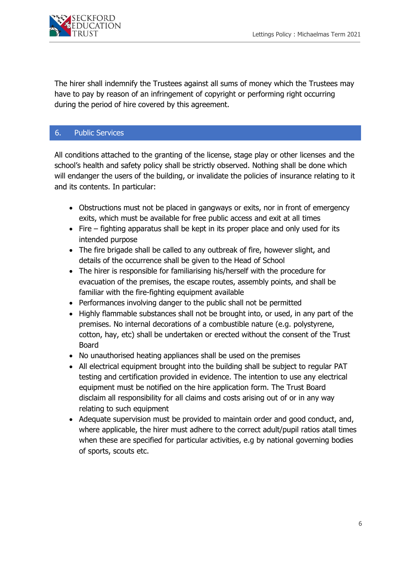

The hirer shall indemnify the Trustees against all sums of money which the Trustees may have to pay by reason of an infringement of copyright or performing right occurring during the period of hire covered by this agreement.

## 6. Public Services

All conditions attached to the granting of the license, stage play or other licenses and the school's health and safety policy shall be strictly observed. Nothing shall be done which<br>video which which we have a strip of the strip of the strip of the strip of the strip of the strip of the stri will endanger the users of the building, or invalidate the policies of insurance relating to it and its contents. In particular:

- Obstructions must not be placed in gangways or exits, nor in front of emergency exits, which must be available for free public access and exit at all times
- Fire fighting apparatus shall be kept in its proper place and only used for its intended purpose
- The fire brigade shall be called to any outbreak of fire, however slight, and details of the occurrence shall be given to the Head of School
- The hirer is responsible for familiarising his/herself with the procedure for evacuation of the premises, the escape routes, assembly points, and shall be familiar with the fire-fighting equipment available
- Performances involving danger to the public shall not be permitted
- Highly flammable substances shall not be brought into, or used, in any part of the premises. No internal decorations of a combustible nature (e.g. polystyrene, cotton, hay, etc) shall be undertaken or erected without the consent of the Trust Board
- No unauthorised heating appliances shall be used on the premises
- All electrical equipment brought into the building shall be subject to regular PAT testing and certification provided in evidence. The intention to use any electrical equipment must be notified on the hire application form. The Trust Board disclaim all responsibility for all claims and costs arising out of or in any way relating to such equipment
- Adequate supervision must be provided to maintain order and good conduct, and, where applicable, the hirer must adhere to the correct adult/pupil ratios atall times when these are specified for particular activities, e.g by national governing bodies of sports, scouts etc.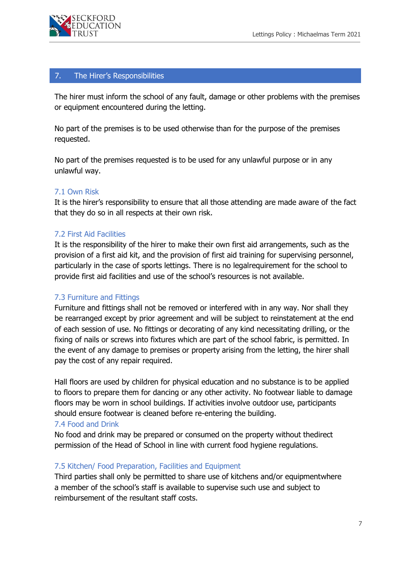

## 7. The Hirer's Responsibilities

The hirer must inform the school of any fault, damage or other problems with the premises or equipment encountered during the letting.<br>

No part of the premises is to be used otherwise than for the purpose of the premises requested.

No part of the premises requested is to be used for any unlawful purpose or in any unlawful way.

#### 7.1 Own Risk

It is the hirer's responsibility to ensure that all those attending are made aware of the fact that they do so in all respects at their own risk.

#### 7.2 First Aid Facilities

It is the responsibility of the hirer to make their own first aid arrangements, such as the provision of a first aid kit, and the provision of first aid training for supervising personnel, particularly in the case of sports lettings. There is no legalrequirement for the school to provide first aid facilities and use of the school's resources is not available.

#### 7.3 Furniture and Fittings

Furniture and fittings shall not be removed or interfered with in any way. Nor shall they be rearranged except by prior agreement and will be subject to reinstatement at the end of each session of use. No fittings or decorating of any kind necessitating drilling, or the fixing of nails or screws into fixtures which are part of the school fabric, is permitted. In the event of any damage to premises or property arising from the letting, the hirer shall pay the cost of any repair required.

Hall floors are used by children for physical education and no substance is to be applied to floors to prepare them for dancing or any other activity. No footwear liable to damage floors may be worn in school buildings. If activities involve outdoor use, participants should ensure footwear is cleaned before re-entering the building.

#### 7.4 Food and Drink

No food and drink may be prepared or consumed on the property without thedirect permission of the Head of School in line with current food hygiene regulations.

#### 7.5 Kitchen/ Food Preparation, Facilities and Equipment

Third parties shall only be permitted to share use of kitchens and/or equipmentwhere a member of the school's staff is available to supervise such use and subject to reimbursement of the resultant staff costs.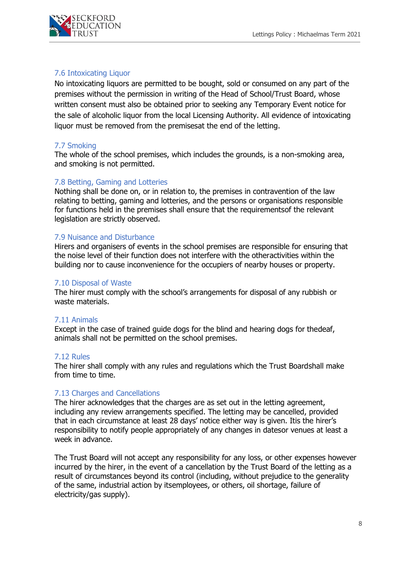

## 7.6 Intoxicating Liquor

No intoxicating liquors are permitted to be bought, sold or consumed on any part of the premises without the permission in writing of the Head of School/Trust Board, whose written consent must also be obtained prior to seeking any Temporary Event notice for the sale of alcoholic liquor from the local Licensing Authority. All evidence of intoxicating liquor must be removed from the premisesat the end of the letting.

## 7.7 Smoking

The whole of the school premises, which includes the grounds, is a non-smoking area, and smoking is not permitted.

## 7.8 Betting, Gaming and Lotteries

Nothing shall be done on, or in relation to, the premises in contravention of the law relating to betting, gaming and lotteries, and the persons or organisations responsible for functions held in the premises shall ensure that the requirementsof the relevant legislation are strictly observed.

## 7.9 Nuisance and Disturbance

Hirers and organisers of events in the school premises are responsible for ensuring that the noise level of their function does not interfere with the otheractivities within the building nor to cause inconvenience for the occupiers of nearby houses or property.

#### 7.10 Disposal of Waste

The hirer must comply with the school's arrangements for disposal of any rubbish or waste materials.

## 7.11 Animals

Except in the case of trained guide dogs for the blind and hearing dogs for thedeaf, animals shall not be permitted on the school premises.

#### 7.12 Rules

The hirer shall comply with any rules and regulations which the Trust Boardshall make from time to time.

## 7.13 Charges and Cancellations

The hirer acknowledges that the charges are as set out in the letting agreement, including any review arrangements specified. The letting may be cancelled, provided that in each circumstance at least 28 days' notice either way is given. Itis the hirer's responsibility to notify people appropriately of any changes in datesor venues at least a week in advance.

The Trust Board will not accept any responsibility for any loss, or other expenses however incurred by the hirer, in the event of a cancellation by the Trust Board of the letting as a result of circumstances beyond its control (including, without prejudice to the generality of the same, industrial action by itsemployees, or others, oil shortage, failure of electricity/gas supply).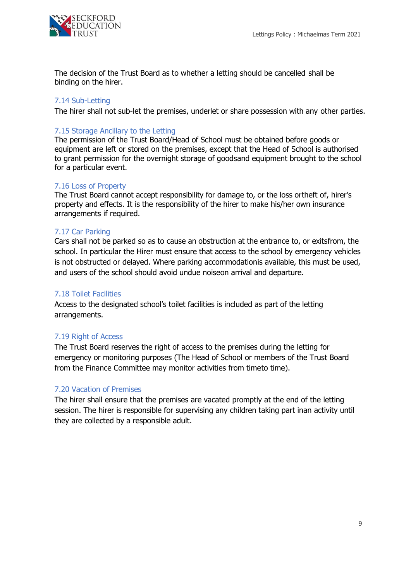

The decision of the Trust Board as to whether a letting should be cancelled shall be binding on the hirer.

## 7.14 Sub-Letting

The hirer shall not sub-let the premises, underlet or share possession with any other parties.

## 7.15 Storage Ancillary to the Letting

The permission of the Trust Board/Head of School must be obtained before goods or equipment are left or stored on the premises, except that the Head of School is authorised to grant permission for the overnight storage of goodsand equipment brought to the school for a particular event.

#### 7.16 Loss of Property

The Trust Board cannot accept responsibility for damage to, or the loss ortheft of, hirer's property and effects. It is the responsibility of the hirer to make his/her own insurance arrangements if required.

## 7.17 Car Parking

Cars shall not be parked so as to cause an obstruction at the entrance to, or exitsfrom, the school. In particular the Hirer must ensure that access to the school by emergency vehicles is not obstructed or delayed. Where parking accommodationis available, this must be used, and users of the school should avoid undue noiseon arrival and departure.

### 7.18 Toilet Facilities

Access to the designated school's toilet facilities is included as part of the letting arrangements.

## 7.19 Right of Access

The Trust Board reserves the right of access to the premises during the letting for emergency or monitoring purposes (The Head of School or members of the Trust Board from the Finance Committee may monitor activities from timeto time).

## 7.20 Vacation of Premises

The hirer shall ensure that the premises are vacated promptly at the end of the letting session. The hirer is responsible for supervising any children taking part inan activity until they are collected by a responsible adult.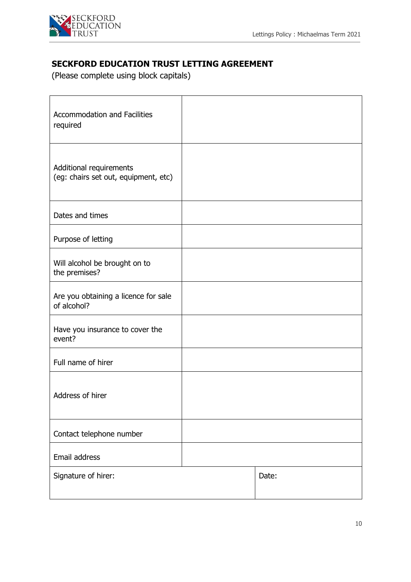

# **SECKFORD EDUCATION TRUST LETTING AGREEMENT**

(Please complete using block capitals)

| <b>Accommodation and Facilities</b><br>required                 |       |
|-----------------------------------------------------------------|-------|
| Additional requirements<br>(eg: chairs set out, equipment, etc) |       |
| Dates and times                                                 |       |
| Purpose of letting                                              |       |
| Will alcohol be brought on to<br>the premises?                  |       |
| Are you obtaining a licence for sale<br>of alcohol?             |       |
| Have you insurance to cover the<br>event?                       |       |
| Full name of hirer                                              |       |
| Address of hirer                                                |       |
| Contact telephone number                                        |       |
| Email address                                                   |       |
| Signature of hirer:                                             | Date: |
|                                                                 |       |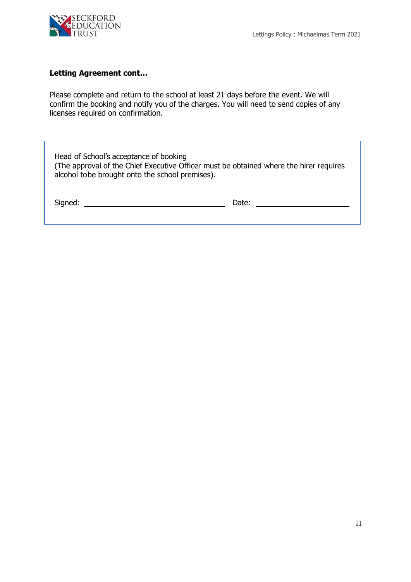

# **Letting Agreement cont…**

Please complete and return to the school at least 21 days before the event. We will confirm the booking and notify you of the charges. You will need to send copies of any licenses required on confirmation.

| Head of School's acceptance of booking<br>(The approval of the Chief Executive Officer must be obtained where the hirer requires<br>alcohol to be brought onto the school premises). |       |
|--------------------------------------------------------------------------------------------------------------------------------------------------------------------------------------|-------|
| Signed:                                                                                                                                                                              | Date: |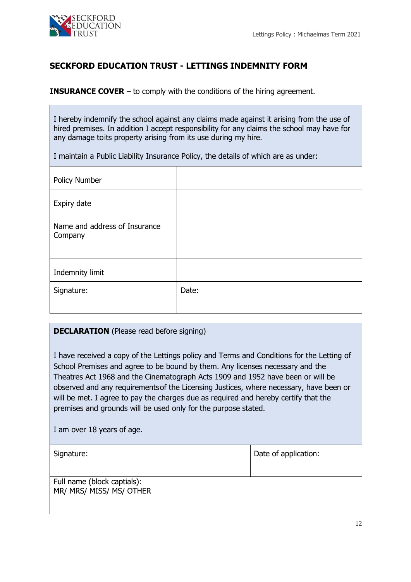

# **SECKFORD EDUCATION TRUST - LETTINGS INDEMNITY FORM**

**INSURANCE COVER** – to comply with the conditions of the hiring agreement.

I hereby indemnify the school against any claims made against it arising from the use of hired premises. In addition I accept responsibility for any claims the school may have for any damage toits property arising from its use during my hire.

I maintain a Public Liability Insurance Policy, the details of which are as under:

| Date: |
|-------|
|       |

## **DECLARATION** (Please read before signing)

I have received a copy of the Lettings policy and Terms and Conditions for the Letting of School Premises and agree to be bound by them. Any licenses necessary and the Theatres Act 1968 and the Cinematograph Acts 1909 and 1952 have been or will be observed and any requirementsof the Licensing Justices, where necessary, have been or will be met. I agree to pay the charges due as required and hereby certify that the premises and grounds will be used only for the purpose stated.

I am over 18 years of age.

Date of application:

Full name (block captials): MR/ MRS/ MISS/ MS/ OTHER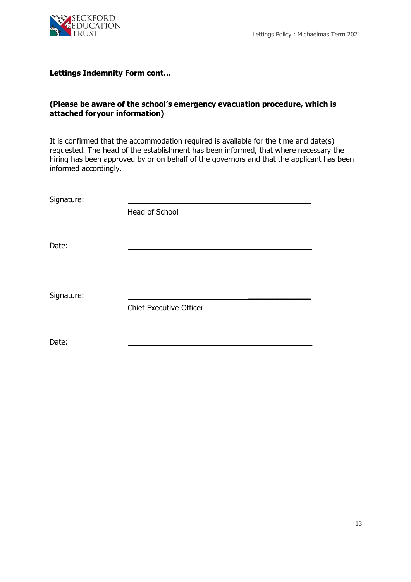

## **Lettings Indemnity Form cont…**

## **(Please be aware of the school's emergency evacuation procedure, which is attached foryour information)**

It is confirmed that the accommodation required is available for the time and date(s) requested. The head of the establishment has been informed, that where necessary the hiring has been approved by or on behalf of the governors and that the applicant has been informed accordingly.

Signature:

Head of School

Date: \_\_\_\_\_\_\_\_\_\_\_\_\_\_\_\_\_\_\_\_\_

Signature:

Chief Executive Officer

Date: \_\_\_\_\_\_\_\_\_\_\_\_\_\_\_\_\_\_\_\_\_